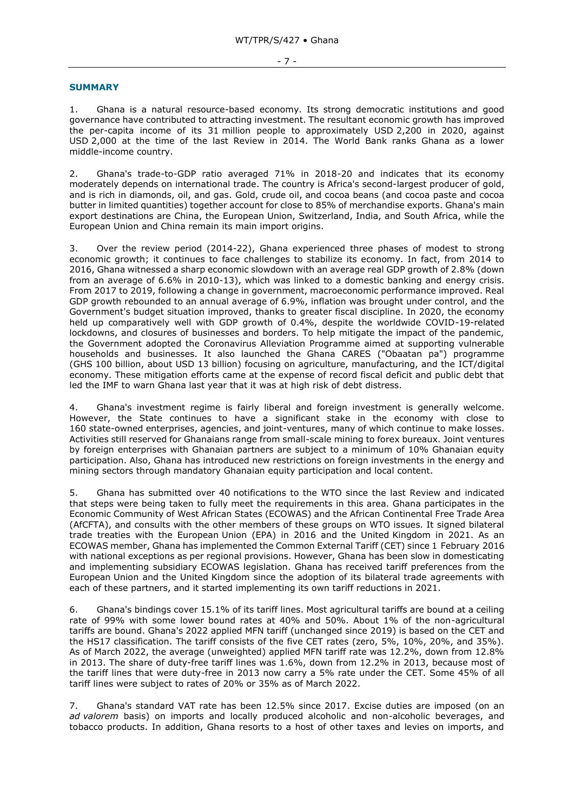## - 7 -

## **SUMMARY**

1. Ghana is a natural resource-based economy. Its strong democratic institutions and good governance have contributed to attracting investment. The resultant economic growth has improved the per-capita income of its 31 million people to approximately USD 2,200 in 2020, against USD 2,000 at the time of the last Review in 2014. The World Bank ranks Ghana as a lower middle-income country.

2. Ghana's trade-to-GDP ratio averaged 71% in 2018-20 and indicates that its economy moderately depends on international trade. The country is Africa's second-largest producer of gold, and is rich in diamonds, oil, and gas. Gold, crude oil, and cocoa beans (and cocoa paste and cocoa butter in limited quantities) together account for close to 85% of merchandise exports. Ghana's main export destinations are China, the European Union, Switzerland, India, and South Africa, while the European Union and China remain its main import origins.

3. Over the review period (2014-22), Ghana experienced three phases of modest to strong economic growth; it continues to face challenges to stabilize its economy. In fact, from 2014 to 2016, Ghana witnessed a sharp economic slowdown with an average real GDP growth of 2.8% (down from an average of 6.6% in 2010-13), which was linked to a domestic banking and energy crisis. From 2017 to 2019, following a change in government, macroeconomic performance improved. Real GDP growth rebounded to an annual average of 6.9%, inflation was brought under control, and the Government's budget situation improved, thanks to greater fiscal discipline. In 2020, the economy held up comparatively well with GDP growth of 0.4%, despite the worldwide COVID-19-related lockdowns, and closures of businesses and borders. To help mitigate the impact of the pandemic, the Government adopted the Coronavirus Alleviation Programme aimed at supporting vulnerable households and businesses. It also launched the Ghana CARES ("Obaatan pa") programme (GHS 100 billion, about USD 13 billion) focusing on agriculture, manufacturing, and the ICT/digital economy. These mitigation efforts came at the expense of record fiscal deficit and public debt that led the IMF to warn Ghana last year that it was at high risk of debt distress.

4. Ghana's investment regime is fairly liberal and foreign investment is generally welcome. However, the State continues to have a significant stake in the economy with close to 160 state-owned enterprises, agencies, and joint-ventures, many of which continue to make losses. Activities still reserved for Ghanaians range from small-scale mining to forex bureaux. Joint ventures by foreign enterprises with Ghanaian partners are subject to a minimum of 10% Ghanaian equity participation. Also, Ghana has introduced new restrictions on foreign investments in the energy and mining sectors through mandatory Ghanaian equity participation and local content.

5. Ghana has submitted over 40 notifications to the WTO since the last Review and indicated that steps were being taken to fully meet the requirements in this area. Ghana participates in the Economic Community of West African States (ECOWAS) and the African Continental Free Trade Area (AfCFTA), and consults with the other members of these groups on WTO issues. It signed bilateral trade treaties with the European Union (EPA) in 2016 and the United Kingdom in 2021. As an ECOWAS member, Ghana has implemented the Common External Tariff (CET) since 1 February 2016 with national exceptions as per regional provisions. However, Ghana has been slow in domesticating and implementing subsidiary ECOWAS legislation. Ghana has received tariff preferences from the European Union and the United Kingdom since the adoption of its bilateral trade agreements with each of these partners, and it started implementing its own tariff reductions in 2021.

6. Ghana's bindings cover 15.1% of its tariff lines. Most agricultural tariffs are bound at a ceiling rate of 99% with some lower bound rates at 40% and 50%. About 1% of the non-agricultural tariffs are bound. Ghana's 2022 applied MFN tariff (unchanged since 2019) is based on the CET and the HS17 classification. The tariff consists of the five CET rates (zero, 5%, 10%, 20%, and 35%). As of March 2022, the average (unweighted) applied MFN tariff rate was 12.2%, down from 12.8% in 2013. The share of duty-free tariff lines was 1.6%, down from 12.2% in 2013, because most of the tariff lines that were duty-free in 2013 now carry a 5% rate under the CET. Some 45% of all tariff lines were subject to rates of 20% or 35% as of March 2022.

7. Ghana's standard VAT rate has been 12.5% since 2017. Excise duties are imposed (on an *ad valorem* basis) on imports and locally produced alcoholic and non-alcoholic beverages, and tobacco products. In addition, Ghana resorts to a host of other taxes and levies on imports, and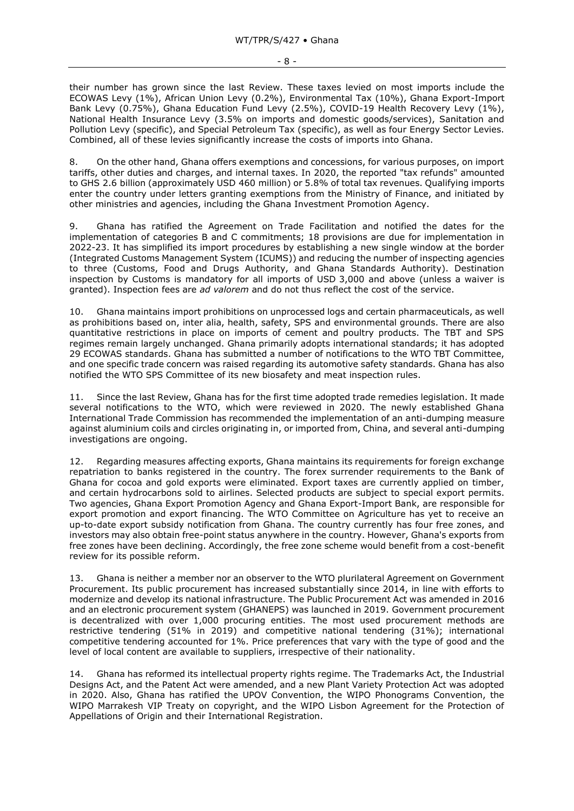- 8 -

their number has grown since the last Review. These taxes levied on most imports include the ECOWAS Levy (1%), African Union Levy (0.2%), Environmental Tax (10%), Ghana Export-Import Bank Levy (0.75%), Ghana Education Fund Levy (2.5%), COVID-19 Health Recovery Levy (1%), National Health Insurance Levy (3.5% on imports and domestic goods/services), Sanitation and Pollution Levy (specific), and Special Petroleum Tax (specific), as well as four Energy Sector Levies. Combined, all of these levies significantly increase the costs of imports into Ghana.

8. On the other hand, Ghana offers exemptions and concessions, for various purposes, on import tariffs, other duties and charges, and internal taxes. In 2020, the reported "tax refunds" amounted to GHS 2.6 billion (approximately USD 460 million) or 5.8% of total tax revenues. Qualifying imports enter the country under letters granting exemptions from the Ministry of Finance, and initiated by other ministries and agencies, including the Ghana Investment Promotion Agency.

9. Ghana has ratified the Agreement on Trade Facilitation and notified the dates for the implementation of categories B and C commitments; 18 provisions are due for implementation in 2022-23. It has simplified its import procedures by establishing a new single window at the border (Integrated Customs Management System (ICUMS)) and reducing the number of inspecting agencies to three (Customs, Food and Drugs Authority, and Ghana Standards Authority). Destination inspection by Customs is mandatory for all imports of USD 3,000 and above (unless a waiver is granted). Inspection fees are *ad valorem* and do not thus reflect the cost of the service.

10. Ghana maintains import prohibitions on unprocessed logs and certain pharmaceuticals, as well as prohibitions based on, inter alia, health, safety, SPS and environmental grounds. There are also quantitative restrictions in place on imports of cement and poultry products. The TBT and SPS regimes remain largely unchanged. Ghana primarily adopts international standards; it has adopted 29 ECOWAS standards. Ghana has submitted a number of notifications to the WTO TBT Committee, and one specific trade concern was raised regarding its automotive safety standards. Ghana has also notified the WTO SPS Committee of its new biosafety and meat inspection rules.

11. Since the last Review, Ghana has for the first time adopted trade remedies legislation. It made several notifications to the WTO, which were reviewed in 2020. The newly established Ghana International Trade Commission has recommended the implementation of an anti-dumping measure against aluminium coils and circles originating in, or imported from, China, and several anti-dumping investigations are ongoing.

12. Regarding measures affecting exports, Ghana maintains its requirements for foreign exchange repatriation to banks registered in the country. The forex surrender requirements to the Bank of Ghana for cocoa and gold exports were eliminated. Export taxes are currently applied on timber, and certain hydrocarbons sold to airlines. Selected products are subject to special export permits. Two agencies, Ghana Export Promotion Agency and Ghana Export-Import Bank, are responsible for export promotion and export financing. The WTO Committee on Agriculture has yet to receive an up-to-date export subsidy notification from Ghana. The country currently has four free zones, and investors may also obtain free-point status anywhere in the country. However, Ghana's exports from free zones have been declining. Accordingly, the free zone scheme would benefit from a cost-benefit review for its possible reform.

13. Ghana is neither a member nor an observer to the WTO plurilateral Agreement on Government Procurement. Its public procurement has increased substantially since 2014, in line with efforts to modernize and develop its national infrastructure. The Public Procurement Act was amended in 2016 and an electronic procurement system (GHANEPS) was launched in 2019. Government procurement is decentralized with over 1,000 procuring entities. The most used procurement methods are restrictive tendering (51% in 2019) and competitive national tendering (31%); international competitive tendering accounted for 1%. Price preferences that vary with the type of good and the level of local content are available to suppliers, irrespective of their nationality.

14. Ghana has reformed its intellectual property rights regime. The Trademarks Act, the Industrial Designs Act, and the Patent Act were amended, and a new Plant Variety Protection Act was adopted in 2020. Also, Ghana has ratified the UPOV Convention, the WIPO Phonograms Convention, the WIPO Marrakesh VIP Treaty on copyright, and the WIPO Lisbon Agreement for the Protection of Appellations of Origin and their International Registration.